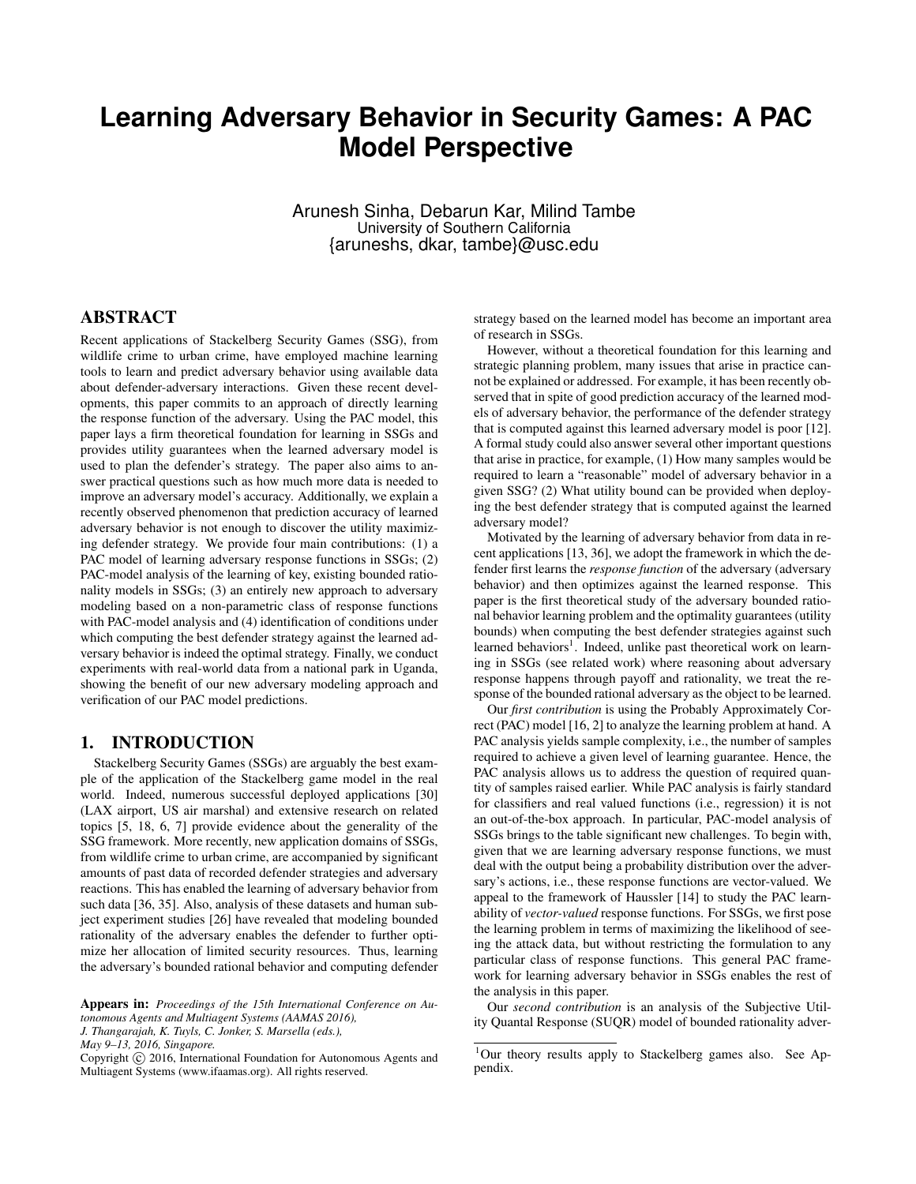# **Learning Adversary Behavior in Security Games: A PAC Model Perspective**

Arunesh Sinha, Debarun Kar, Milind Tambe University of Southern California {aruneshs, dkar, tambe}@usc.edu

#### ABSTRACT

Recent applications of Stackelberg Security Games (SSG), from wildlife crime to urban crime, have employed machine learning tools to learn and predict adversary behavior using available data about defender-adversary interactions. Given these recent developments, this paper commits to an approach of directly learning the response function of the adversary. Using the PAC model, this paper lays a firm theoretical foundation for learning in SSGs and provides utility guarantees when the learned adversary model is used to plan the defender's strategy. The paper also aims to answer practical questions such as how much more data is needed to improve an adversary model's accuracy. Additionally, we explain a recently observed phenomenon that prediction accuracy of learned adversary behavior is not enough to discover the utility maximizing defender strategy. We provide four main contributions: (1) a PAC model of learning adversary response functions in SSGs; (2) PAC-model analysis of the learning of key, existing bounded rationality models in SSGs; (3) an entirely new approach to adversary modeling based on a non-parametric class of response functions with PAC-model analysis and (4) identification of conditions under which computing the best defender strategy against the learned adversary behavior is indeed the optimal strategy. Finally, we conduct experiments with real-world data from a national park in Uganda, showing the benefit of our new adversary modeling approach and verification of our PAC model predictions.

#### 1. INTRODUCTION

Stackelberg Security Games (SSGs) are arguably the best example of the application of the Stackelberg game model in the real world. Indeed, numerous successful deployed applications [30] (LAX airport, US air marshal) and extensive research on related topics [5, 18, 6, 7] provide evidence about the generality of the SSG framework. More recently, new application domains of SSGs, from wildlife crime to urban crime, are accompanied by significant amounts of past data of recorded defender strategies and adversary reactions. This has enabled the learning of adversary behavior from such data [36, 35]. Also, analysis of these datasets and human subject experiment studies [26] have revealed that modeling bounded rationality of the adversary enables the defender to further optimize her allocation of limited security resources. Thus, learning the adversary's bounded rational behavior and computing defender

Appears in: *Proceedings of the 15th International Conference on Autonomous Agents and Multiagent Systems (AAMAS 2016), J. Thangarajah, K. Tuyls, C. Jonker, S. Marsella (eds.),*

*May 9–13, 2016, Singapore.*

Copyright (C) 2016, International Foundation for Autonomous Agents and Multiagent Systems (www.ifaamas.org). All rights reserved.

strategy based on the learned model has become an important area of research in SSGs.

However, without a theoretical foundation for this learning and strategic planning problem, many issues that arise in practice cannot be explained or addressed. For example, it has been recently observed that in spite of good prediction accuracy of the learned models of adversary behavior, the performance of the defender strategy that is computed against this learned adversary model is poor [12]. A formal study could also answer several other important questions that arise in practice, for example, (1) How many samples would be required to learn a "reasonable" model of adversary behavior in a given SSG? (2) What utility bound can be provided when deploying the best defender strategy that is computed against the learned adversary model?

Motivated by the learning of adversary behavior from data in recent applications [13, 36], we adopt the framework in which the defender first learns the *response function* of the adversary (adversary behavior) and then optimizes against the learned response. This paper is the first theoretical study of the adversary bounded rational behavior learning problem and the optimality guarantees (utility bounds) when computing the best defender strategies against such learned behaviors<sup>1</sup>. Indeed, unlike past theoretical work on learning in SSGs (see related work) where reasoning about adversary response happens through payoff and rationality, we treat the response of the bounded rational adversary as the object to be learned.

Our *first contribution* is using the Probably Approximately Correct (PAC) model [16, 2] to analyze the learning problem at hand. A PAC analysis yields sample complexity, i.e., the number of samples required to achieve a given level of learning guarantee. Hence, the PAC analysis allows us to address the question of required quantity of samples raised earlier. While PAC analysis is fairly standard for classifiers and real valued functions (i.e., regression) it is not an out-of-the-box approach. In particular, PAC-model analysis of SSGs brings to the table significant new challenges. To begin with, given that we are learning adversary response functions, we must deal with the output being a probability distribution over the adversary's actions, i.e., these response functions are vector-valued. We appeal to the framework of Haussler [14] to study the PAC learnability of *vector-valued* response functions. For SSGs, we first pose the learning problem in terms of maximizing the likelihood of seeing the attack data, but without restricting the formulation to any particular class of response functions. This general PAC framework for learning adversary behavior in SSGs enables the rest of the analysis in this paper.

Our *second contribution* is an analysis of the Subjective Utility Quantal Response (SUQR) model of bounded rationality adver-

<sup>&</sup>lt;sup>1</sup>Our theory results apply to Stackelberg games also. See Appendix.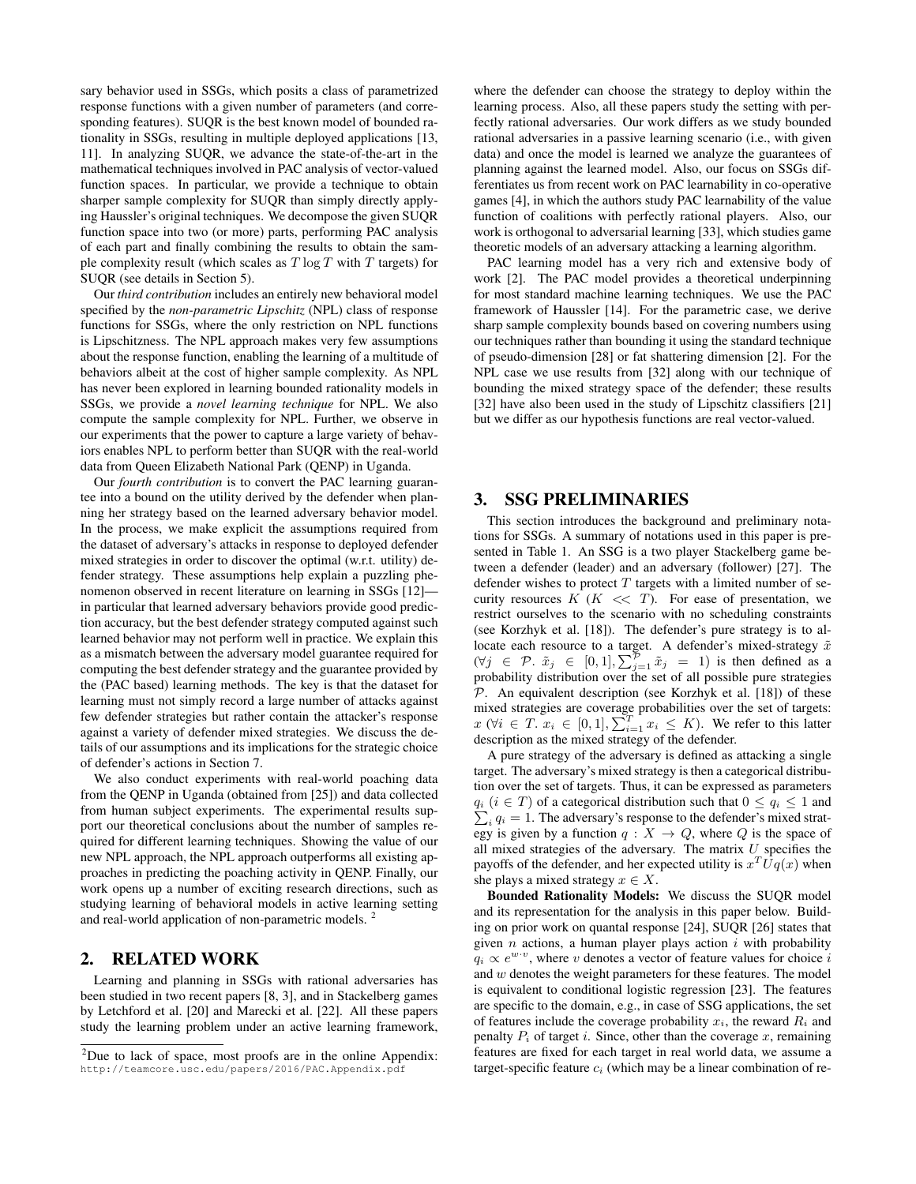sary behavior used in SSGs, which posits a class of parametrized response functions with a given number of parameters (and corresponding features). SUQR is the best known model of bounded rationality in SSGs, resulting in multiple deployed applications [13, 11]. In analyzing SUQR, we advance the state-of-the-art in the mathematical techniques involved in PAC analysis of vector-valued function spaces. In particular, we provide a technique to obtain sharper sample complexity for SUQR than simply directly applying Haussler's original techniques. We decompose the given SUQR function space into two (or more) parts, performing PAC analysis of each part and finally combining the results to obtain the sample complexity result (which scales as  $T \log T$  with  $T$  targets) for SUQR (see details in Section 5).

Our *third contribution* includes an entirely new behavioral model specified by the *non-parametric Lipschitz* (NPL) class of response functions for SSGs, where the only restriction on NPL functions is Lipschitzness. The NPL approach makes very few assumptions about the response function, enabling the learning of a multitude of behaviors albeit at the cost of higher sample complexity. As NPL has never been explored in learning bounded rationality models in SSGs, we provide a *novel learning technique* for NPL. We also compute the sample complexity for NPL. Further, we observe in our experiments that the power to capture a large variety of behaviors enables NPL to perform better than SUQR with the real-world data from Queen Elizabeth National Park (QENP) in Uganda.

Our *fourth contribution* is to convert the PAC learning guarantee into a bound on the utility derived by the defender when planning her strategy based on the learned adversary behavior model. In the process, we make explicit the assumptions required from the dataset of adversary's attacks in response to deployed defender mixed strategies in order to discover the optimal (w.r.t. utility) defender strategy. These assumptions help explain a puzzling phenomenon observed in recent literature on learning in SSGs [12] in particular that learned adversary behaviors provide good prediction accuracy, but the best defender strategy computed against such learned behavior may not perform well in practice. We explain this as a mismatch between the adversary model guarantee required for computing the best defender strategy and the guarantee provided by the (PAC based) learning methods. The key is that the dataset for learning must not simply record a large number of attacks against few defender strategies but rather contain the attacker's response against a variety of defender mixed strategies. We discuss the details of our assumptions and its implications for the strategic choice of defender's actions in Section 7.

We also conduct experiments with real-world poaching data from the QENP in Uganda (obtained from [25]) and data collected from human subject experiments. The experimental results support our theoretical conclusions about the number of samples required for different learning techniques. Showing the value of our new NPL approach, the NPL approach outperforms all existing approaches in predicting the poaching activity in QENP. Finally, our work opens up a number of exciting research directions, such as studying learning of behavioral models in active learning setting and real-world application of non-parametric models. <sup>2</sup>

## 2. RELATED WORK

Learning and planning in SSGs with rational adversaries has been studied in two recent papers [8, 3], and in Stackelberg games by Letchford et al. [20] and Marecki et al. [22]. All these papers study the learning problem under an active learning framework, where the defender can choose the strategy to deploy within the learning process. Also, all these papers study the setting with perfectly rational adversaries. Our work differs as we study bounded rational adversaries in a passive learning scenario (i.e., with given data) and once the model is learned we analyze the guarantees of planning against the learned model. Also, our focus on SSGs differentiates us from recent work on PAC learnability in co-operative games [4], in which the authors study PAC learnability of the value function of coalitions with perfectly rational players. Also, our work is orthogonal to adversarial learning [33], which studies game theoretic models of an adversary attacking a learning algorithm.

PAC learning model has a very rich and extensive body of work [2]. The PAC model provides a theoretical underpinning for most standard machine learning techniques. We use the PAC framework of Haussler [14]. For the parametric case, we derive sharp sample complexity bounds based on covering numbers using our techniques rather than bounding it using the standard technique of pseudo-dimension [28] or fat shattering dimension [2]. For the NPL case we use results from [32] along with our technique of bounding the mixed strategy space of the defender; these results [32] have also been used in the study of Lipschitz classifiers [21] but we differ as our hypothesis functions are real vector-valued.

#### 3. SSG PRELIMINARIES

This section introduces the background and preliminary notations for SSGs. A summary of notations used in this paper is presented in Table 1. An SSG is a two player Stackelberg game between a defender (leader) and an adversary (follower) [27]. The defender wishes to protect  $T$  targets with a limited number of security resources  $K$  ( $K \ll T$ ). For ease of presentation, we restrict ourselves to the scenario with no scheduling constraints (see Korzhyk et al. [18]). The defender's pure strategy is to allocate each resource to a target. A defender's mixed-strategy  $\tilde{x}$  $(\forall j \in \mathcal{P}. \ \tilde{x}_j \in [0,1], \sum_{j=1}^{\mathcal{P}} \tilde{x}_j = 1)$  is then defined as a probability distribution over the set of all possible pure strategies  $P$ . An equivalent description (see Korzhyk et al. [18]) of these mixed strategies are coverage probabilities over the set of targets:  $x \ (\forall i \in T. \ x_i \in [0,1], \sum_{i=1}^T x_i \leq K)$ . We refer to this latter description as the mixed strategy of the defender.

A pure strategy of the adversary is defined as attacking a single target. The adversary's mixed strategy is then a categorical distribution over the set of targets. Thus, it can be expressed as parameters  $q_i$   $(i \in T)$  of a categorical distribution such that  $0 \leq q_i \leq 1$  and  $q_i$  ( $i \in T$ ) of a categorical distribution such that  $0 \le q_i \le 1$  and  $\sum_i q_i = 1$ . The adversary's response to the defender's mixed strategy is given by a function  $q : X \to Q$ , where Q is the space of all mixed strategies of the adversary. The matrix  $U$  specifies the payoffs of the defender, and her expected utility is  $x^T \overline{U} q(x)$  when she plays a mixed strategy  $x \in X$ .

Bounded Rationality Models: We discuss the SUQR model and its representation for the analysis in this paper below. Building on prior work on quantal response [24], SUQR [26] states that given *n* actions, a human player plays action *i* with probability  $q_i \propto e^{w \cdot v}$ , where v denotes a vector of feature values for choice i and w denotes the weight parameters for these features. The model is equivalent to conditional logistic regression [23]. The features are specific to the domain, e.g., in case of SSG applications, the set of features include the coverage probability  $x_i$ , the reward  $R_i$  and penalty  $P_i$  of target i. Since, other than the coverage x, remaining features are fixed for each target in real world data, we assume a target-specific feature  $c_i$  (which may be a linear combination of re-

 $2$ Due to lack of space, most proofs are in the online Appendix: http://teamcore.usc.edu/papers/2016/PAC.Appendix.pdf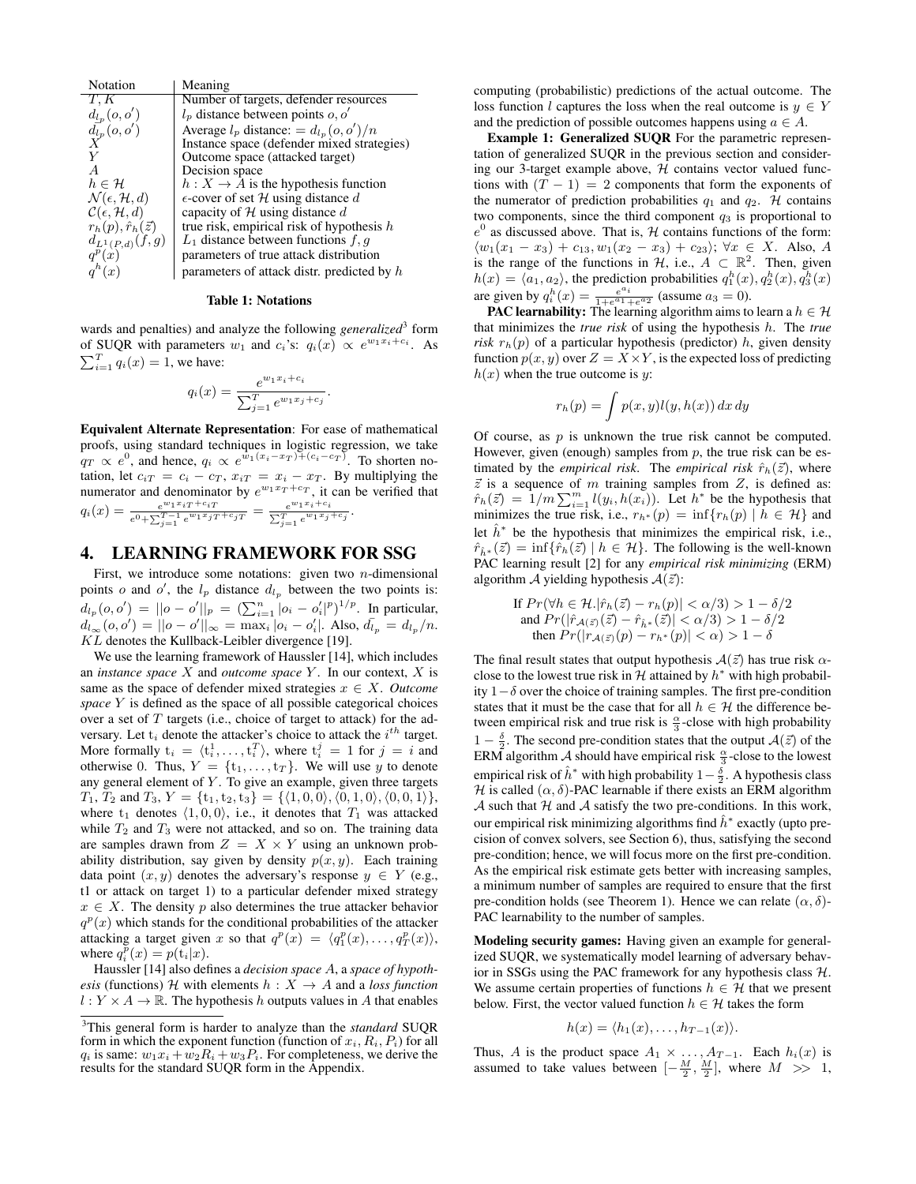| Notation                                | Meaning                                      |  |  |
|-----------------------------------------|----------------------------------------------|--|--|
| T, K                                    | Number of targets, defender resources        |  |  |
| $d_{l_p}(o, o')$                        | $l_p$ distance between points $o, o'$        |  |  |
| $\frac{d_{l_p}(o,o')}{X}$               | Average $l_p$ distance: $= d_{l_p}(o, o')/n$ |  |  |
|                                         | Instance space (defender mixed strategies)   |  |  |
|                                         | Outcome space (attacked target)              |  |  |
| A                                       | Decision space                               |  |  |
| $h\in\mathcal{H}$                       | $h: X \to A$ is the hypothesis function      |  |  |
| $\mathcal{N}(\epsilon, \mathcal{H}, d)$ | $\epsilon$ -cover of set H using distance d  |  |  |
| $\mathcal{C}(\epsilon, \mathcal{H}, d)$ | capacity of H using distance d               |  |  |
| $r_h(p), \hat{r}_h(\vec{z})$            | true risk, empirical risk of hypothesis $h$  |  |  |
| $d_{L^1(P,d)}(f,g)$                     | $L_1$ distance between functions f, q        |  |  |
| $q^p(x)$                                | parameters of true attack distribution       |  |  |
| $q^h(x)$                                | parameters of attack distr. predicted by $h$ |  |  |

#### Table 1: Notations

wards and penalties) and analyze the following *generalized*<sup>3</sup> form of SUQR with parameters  $w_1$  and  $c_i$ 's:  $q_i(x) \propto e^{w_1 x_i + c_i}$ . As  $\sum_{i=1}^{T} q_i(x) = 1$ , we have:

$$
q_i(x) = \frac{e^{w_1 x_i + c_i}}{\sum_{j=1}^T e^{w_1 x_j + c_j}}.
$$

Equivalent Alternate Representation: For ease of mathematical proofs, using standard techniques in logistic regression, we take  $q_T \propto e^0$ , and hence,  $q_i \propto e^{w_1(x_i-x_T)+(c_i-c_T)}$ . To shorten notation, let  $c_{iT} = c_i - c_T$ ,  $x_{iT} = x_i - x_T$ . By multiplying the numerator and denominator by  $e^{w_1x_T+c_T}$ , it can be verified that  $q_i(x) = \frac{e^{w_1 x_i T + c_i T}}{e^0 + \sum_{j=1}^{T-1} e^{w_1 x_j T + c_j T}} = \frac{e^{w_1 x_i + c_i}}{\sum_{j=1}^{T} e^{w_1 x_j}}$  $\frac{e^{u_1u_1+e_i}}{\sum_{j=1}^T e^{w_1x_j+e_j}}$ .

## 4. LEARNING FRAMEWORK FOR SSG

First, we introduce some notations: given two  $n$ -dimensional points o and o', the  $l_p$  distance  $d_{l_p}$  between the two points is:  $d_{l_p}(o, o') = ||o - o'||_p = \left(\sum_{i=1}^n |o_i - o'_i|^p\right)^{1/p}$ . In particular,  $d_{l_{\infty}}(o, o') = ||o - o'||_{\infty} = \max_{i} |o_{i} - o'_{i}|$ . Also,  $d_{l_{p}} = d_{l_{p}}/n$ . KL denotes the Kullback-Leibler divergence [19].

We use the learning framework of Haussler [14], which includes an *instance space* X and *outcome space* Y . In our context, X is same as the space of defender mixed strategies  $x \in X$ . *Outcome space* Y is defined as the space of all possible categorical choices over a set of  $T$  targets (i.e., choice of target to attack) for the adversary. Let  $t_i$  denote the attacker's choice to attack the  $i^{th}$  target. More formally  $t_i = \langle t_i^1, \ldots, t_i^T \rangle$ , where  $t_i^j = 1$  for  $j = i$  and otherwise 0. Thus,  $Y = \{t_1, \ldots, t_T\}$ . We will use y to denote any general element of  $Y$ . To give an example, given three targets  $T_1, T_2$  and  $T_3, Y = \{t_1, t_2, t_3\} = \{\langle 1, 0, 0 \rangle, \langle 0, 1, 0 \rangle, \langle 0, 0, 1 \rangle\},\$ where  $t_1$  denotes  $\langle 1, 0, 0 \rangle$ , i.e., it denotes that  $T_1$  was attacked while  $T_2$  and  $T_3$  were not attacked, and so on. The training data are samples drawn from  $Z = X \times Y$  using an unknown probability distribution, say given by density  $p(x, y)$ . Each training data point  $(x, y)$  denotes the adversary's response  $y \in Y$  (e.g., t1 or attack on target 1) to a particular defender mixed strategy  $x \in X$ . The density p also determines the true attacker behavior  $q^p(x)$  which stands for the conditional probabilities of the attacker attacking a target given x so that  $q^p(x) = \langle q_1^p(x), \ldots, q_T^p(x) \rangle$ , where  $q_i^p(x) = p(\mathbf{t}_i|x)$ .

Haussler [14] also defines a *decision space* A, a *space of hypothesis* (functions) H with elements  $h : X \rightarrow A$  and a *loss function*  $l: Y \times A \rightarrow \mathbb{R}$ . The hypothesis h outputs values in A that enables computing (probabilistic) predictions of the actual outcome. The loss function l captures the loss when the real outcome is  $y \in Y$ and the prediction of possible outcomes happens using  $a \in A$ .

Example 1: Generalized SUQR For the parametric representation of generalized SUQR in the previous section and considering our 3-target example above,  $H$  contains vector valued functions with  $(T - 1) = 2$  components that form the exponents of the numerator of prediction probabilities  $q_1$  and  $q_2$ . H contains two components, since the third component  $q_3$  is proportional to  $e^{0}$  as discussed above. That is,  $H$  contains functions of the form:  $\langle w_1(x_1 - x_3) + c_{13}, w_1(x_2 - x_3) + c_{23} \rangle$ ; ∀x ∈ X. Also, A is the range of the functions in  $\mathcal{H}$ , i.e.,  $A \subset \mathbb{R}^2$ . Then, given  $h(x) = \langle a_1, a_2 \rangle$ , the prediction probabilities  $q_1^h(x), q_2^h(x), q_3^h(x)$ are given by  $q_i^h(x) = \frac{e^{a_i}}{1+e^{a_1}+e^{a_2}}$  (assume  $a_3 = 0$ ).

**PAC learnability:** The learning algorithm aims to learn a  $h \in \mathcal{H}$ that minimizes the *true risk* of using the hypothesis h. The *true risk*  $r_h(p)$  of a particular hypothesis (predictor) h, given density function  $p(x, y)$  over  $Z = X \times Y$ , is the expected loss of predicting  $h(x)$  when the true outcome is y:

$$
r_h(p) = \int p(x, y) l(y, h(x)) dx dy
$$

Of course, as  $p$  is unknown the true risk cannot be computed. However, given (enough) samples from  $p$ , the true risk can be estimated by the *empirical risk*. The *empirical risk*  $\hat{r}_h(\vec{z})$ , where  $\vec{z}$  is a sequence of m training samples from  $Z$ , is defined as:  $\hat{r}_h(\vec{z}) = 1/m \sum_{i=1}^m l(y_i, h(x_i))$ . Let  $h^*$  be the hypothesis that minimizes the true risk, i.e.,  $r_{h^*}(p) = \inf \{ r_h(p) | h \in \mathcal{H} \}$  and let  $\hat{h}^*$  be the hypothesis that minimizes the empirical risk, i.e.,  $\hat{r}_{\hat{h}^*}(\vec{z}) = \inf \{ \hat{r}_h(\vec{z}) \mid h \in \mathcal{H} \}.$  The following is the well-known PAC learning result [2] for any *empirical risk minimizing* (ERM) algorithm A yielding hypothesis  $A(\vec{z})$ :

If 
$$
Pr(\forall h \in \mathcal{H}. |\hat{r}_h(\vec{z}) - r_h(p)| < \alpha/3) > 1 - \delta/2
$$
 and  $Pr(|\hat{r}_{\mathcal{A}(\vec{z})}(\vec{z}) - \hat{r}_{\hat{h}^*}(\vec{z})| < \alpha/3) > 1 - \delta/2$  then  $Pr(|r_{\mathcal{A}(\vec{z})}(p) - r_{h^*}(p)| < \alpha) > 1 - \delta$ 

The final result states that output hypothesis  $A(\vec{z})$  has true risk  $\alpha$ close to the lowest true risk in  $H$  attained by  $h^*$  with high probability  $1-\delta$  over the choice of training samples. The first pre-condition states that it must be the case that for all  $h \in \mathcal{H}$  the difference between empirical risk and true risk is  $\frac{\alpha}{3}$ -close with high probability 1 –  $\frac{\delta}{2}$ . The second pre-condition states that the output  $\mathcal{A}(\vec{z})$  of the ERM algorithm  $\mathcal A$  should have empirical risk  $\frac{\alpha}{3}$ -close to the lowest empirical risk of  $\hat{h}^*$  with high probability  $1-\frac{\delta}{2}$ . A hypothesis class H is called  $(\alpha, \delta)$ -PAC learnable if there exists an ERM algorithm  $A$  such that  $H$  and  $A$  satisfy the two pre-conditions. In this work, our empirical risk minimizing algorithms find  $\hat{h}^*$  exactly (upto precision of convex solvers, see Section 6), thus, satisfying the second pre-condition; hence, we will focus more on the first pre-condition. As the empirical risk estimate gets better with increasing samples, a minimum number of samples are required to ensure that the first pre-condition holds (see Theorem 1). Hence we can relate  $(\alpha, \delta)$ -PAC learnability to the number of samples.

Modeling security games: Having given an example for generalized SUQR, we systematically model learning of adversary behavior in SSGs using the PAC framework for any hypothesis class  $H$ . We assume certain properties of functions  $h \in \mathcal{H}$  that we present below. First, the vector valued function  $h \in \mathcal{H}$  takes the form

$$
h(x) = \langle h_1(x), \ldots, h_{T-1}(x) \rangle.
$$

Thus, A is the product space  $A_1 \times \ldots, A_{T-1}$ . Each  $h_i(x)$  is assumed to take values between  $[-\frac{M}{2}, \frac{M}{2}]$ , where  $M \gg 1$ ,

<sup>3</sup>This general form is harder to analyze than the *standard* SUQR form in which the exponent function (function of  $x_i$ ,  $R_i$ ,  $P_i$ ) for all  $q_i$  is same:  $w_1x_i + w_2R_i + w_3P_i$ . For completeness, we derive the results for the standard SUQR form in the Appendix.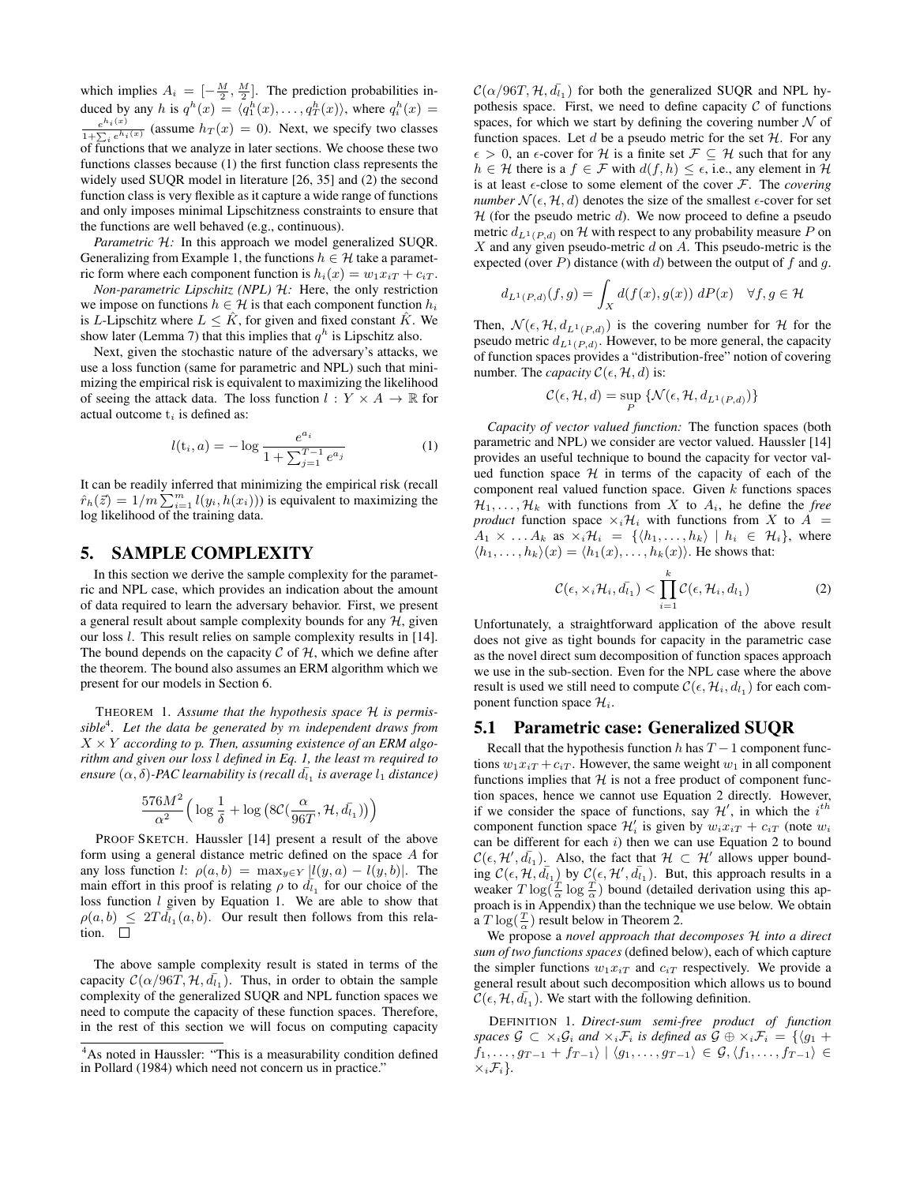which implies  $A_i = \left[-\frac{M}{2}, \frac{M}{2}\right]$ . The prediction probabilities induced by any h is  $q^h(x) = \langle q_1^h(x), \ldots, q_T^h(x) \rangle$ , where  $q_i^h(x) =$  $e^{h_i(x)}$  $\frac{e^{i\phi_1(x)}}{1+\sum_i e^{h_i(x)}}$  (assume  $h_T(x) = 0$ ). Next, we specify two classes of functions that we analyze in later sections. We choose these two functions classes because (1) the first function class represents the widely used SUQR model in literature [26, 35] and (2) the second function class is very flexible as it capture a wide range of functions and only imposes minimal Lipschitzness constraints to ensure that the functions are well behaved (e.g., continuous).

*Parametric* H: In this approach we model generalized SUQR. Generalizing from Example 1, the functions  $h \in \mathcal{H}$  take a parametric form where each component function is  $h_i(x) = w_1 x_i T + c_i T$ .

*Non-parametric Lipschitz (NPL)* H*:* Here, the only restriction we impose on functions  $h \in \mathcal{H}$  is that each component function  $h_i$ is L-Lipschitz where  $L \leq \hat{K}$ , for given and fixed constant  $\hat{K}$ . We show later (Lemma 7) that this implies that  $q^h$  is Lipschitz also.

Next, given the stochastic nature of the adversary's attacks, we use a loss function (same for parametric and NPL) such that minimizing the empirical risk is equivalent to maximizing the likelihood of seeing the attack data. The loss function  $l : Y \times A \rightarrow \mathbb{R}$  for actual outcome  $t_i$  is defined as:

$$
l(\mathbf{t}_i, a) = -\log \frac{e^{a_i}}{1 + \sum_{j=1}^{T-1} e^{a_j}} \tag{1}
$$

It can be readily inferred that minimizing the empirical risk (recall  $\hat{r}_h(\vec{z}) = 1/m \sum_{i=1}^m l(y_i, h(x_i))$ ) is equivalent to maximizing the log likelihood of the training data.

# 5. SAMPLE COMPLEXITY

In this section we derive the sample complexity for the parametric and NPL case, which provides an indication about the amount of data required to learn the adversary behavior. First, we present a general result about sample complexity bounds for any  $H$ , given our loss l. This result relies on sample complexity results in [14]. The bound depends on the capacity  $\mathcal C$  of  $\mathcal H$ , which we define after the theorem. The bound also assumes an ERM algorithm which we present for our models in Section 6.

THEOREM 1. *Assume that the hypothesis space* H *is permissible*<sup>4</sup> *. Let the data be generated by* m *independent draws from* X × Y *according to* p*. Then, assuming existence of an ERM algorithm and given our loss* l *defined in Eq. 1, the least* m *required to*  $e$ nsure  $(\alpha, \delta)$ -PAC learnability is (recall  $\bar{d_{l_1}}$  is average  $l_1$  distance)

$$
\frac{576 M^2}{\alpha^2}\Big(\log\frac{1}{\delta}+\log\big(8\mathcal{C}(\frac{\alpha}{96T}, \mathcal{H},\bar{d_{1}})\big)\Big)
$$

PROOF SKETCH. Haussler [14] present a result of the above form using a general distance metric defined on the space A for any loss function l:  $\rho(a, b) = \max_{y \in Y} |l(y, a) - l(y, b)|$ . The main effort in this proof is relating  $\rho$  to  $d_{l_1}$  for our choice of the loss function  $l$  given by Equation 1. We are able to show that  $\rho(a, b) \leq 2T d_{i_1}(a, b)$ . Our result then follows from this relation.  $\square$ 

The above sample complexity result is stated in terms of the capacity  $C(\alpha/96T, H, d\bar{l}_1)$ . Thus, in order to obtain the sample complexity of the generalized SUQR and NPL function spaces we need to compute the capacity of these function spaces. Therefore, in the rest of this section we will focus on computing capacity

 $\mathcal{C}(\alpha/96T, \mathcal{H}, d_{l_1})$  for both the generalized SUQR and NPL hypothesis space. First, we need to define capacity  $C$  of functions spaces, for which we start by defining the covering number  $\mathcal N$  of function spaces. Let d be a pseudo metric for the set  $H$ . For any  $\epsilon > 0$ , an  $\epsilon$ -cover for H is a finite set  $\mathcal{F} \subseteq \mathcal{H}$  such that for any  $h \in \mathcal{H}$  there is a  $f \in \mathcal{F}$  with  $d(f, h) \leq \epsilon$ , i.e., any element in  $\mathcal{H}$ is at least  $\epsilon$ -close to some element of the cover  $\mathcal{F}$ . The *covering number*  $\mathcal{N}(\epsilon, \mathcal{H}, d)$  denotes the size of the smallest  $\epsilon$ -cover for set  $H$  (for the pseudo metric d). We now proceed to define a pseudo metric  $d_{L^1(P, d)}$  on H with respect to any probability measure P on  $X$  and any given pseudo-metric  $d$  on  $A$ . This pseudo-metric is the expected (over P) distance (with d) between the output of f and g.

$$
d_{L^{1}(P,d)}(f,g) = \int_{X} d(f(x),g(x)) \, dP(x) \quad \forall f,g \in \mathcal{H}
$$

Then,  $\mathcal{N}(\epsilon, \mathcal{H}, d_{L^1(P,d)})$  is the covering number for  $\mathcal{H}$  for the pseudo metric  $d_{L^1(P,d)}$ . However, to be more general, the capacity of function spaces provides a "distribution-free" notion of covering number. The *capacity*  $C(\epsilon, \mathcal{H}, d)$  is:

$$
\mathcal{C}(\epsilon, \mathcal{H}, d) = \sup_{P} \{ \mathcal{N}(\epsilon, \mathcal{H}, d_{L^{1}(P, d)}) \}
$$

*Capacity of vector valued function:* The function spaces (both parametric and NPL) we consider are vector valued. Haussler [14] provides an useful technique to bound the capacity for vector valued function space  $H$  in terms of the capacity of each of the component real valued function space. Given  $k$  functions spaces  $\mathcal{H}_1, \ldots, \mathcal{H}_k$  with functions from X to  $A_i$ , he define the *free product* function space  $\times_i\mathcal{H}_i$  with functions from X to A =  $A_1 \times \ldots A_k$  as  $\times_i \mathcal{H}_i = \{ \langle h_1, \ldots, h_k \rangle \mid h_i \in \mathcal{H}_i \},$  where  $\langle h_1, \ldots, h_k \rangle(x) = \langle h_1(x), \ldots, h_k(x) \rangle$ . He shows that:

$$
\mathcal{C}(\epsilon, \times_i \mathcal{H}_i, \bar{d}_{l_1}) < \prod_{i=1}^k \mathcal{C}(\epsilon, \mathcal{H}_i, d_{l_1}) \tag{2}
$$

Unfortunately, a straightforward application of the above result does not give as tight bounds for capacity in the parametric case as the novel direct sum decomposition of function spaces approach we use in the sub-section. Even for the NPL case where the above result is used we still need to compute  $\mathcal{C}(\epsilon, \mathcal{H}_i, d_{l_1})$  for each component function space  $\mathcal{H}_i$ .

#### 5.1 Parametric case: Generalized SUQR

Recall that the hypothesis function h has  $T - 1$  component functions  $w_1x_{iT} + c_{iT}$ . However, the same weight  $w_1$  in all component functions implies that  $H$  is not a free product of component function spaces, hence we cannot use Equation 2 directly. However, if we consider the space of functions, say  $\mathcal{H}'$ , in which the  $i^{th}$ component function space  $\mathcal{H}'_i$  is given by  $w_i x_{iT} + c_{iT}$  (note  $w_i$ can be different for each  $i$ ) then we can use Equation 2 to bound  $\mathcal{C}(\epsilon, \mathcal{H}', \bar{d}_{1})$ . Also, the fact that  $\mathcal{H} \subset \mathcal{H}'$  allows upper bounding  $\mathcal{C}(\epsilon, \mathcal{H}, \bar{d}_{\bar{l}_1})$  by  $\mathcal{C}(\epsilon, \mathcal{H}', \bar{d}_{\bar{l}_1})$ . But, this approach results in a weaker  $T \log(\frac{T}{\alpha} \log \frac{T}{\alpha})$  bound (detailed derivation using this approach is in Appendix) than the technique we use below. We obtain a  $T \log(\frac{T}{\alpha})$  result below in Theorem 2.

We propose a *novel approach that decomposes* H *into a direct sum of two functions spaces* (defined below), each of which capture the simpler functions  $w_1x_{iT}$  and  $c_{iT}$  respectively. We provide a general result about such decomposition which allows us to bound  $\widetilde{\mathcal{C}}(\epsilon, \mathcal{H}, d_{l_1})$ . We start with the following definition.

DEFINITION 1. *Direct-sum semi-free product of function spaces*  $G \subset \times_i G_i$  *and*  $\times_i \mathcal{F}_i$  *is defined as*  $G \oplus \times_i \mathcal{F}_i = \{g_1 + g_2 \}$  $f_1, \ldots, g_{T-1} + f_{T-1} \rangle \mid \langle g_1, \ldots, g_{T-1} \rangle \in \mathcal{G}, \langle f_1, \ldots, f_{T-1} \rangle \in$  $\times_i \mathcal{F}_i$ .

<sup>4</sup>As noted in Haussler: "This is a measurability condition defined in Pollard (1984) which need not concern us in practice."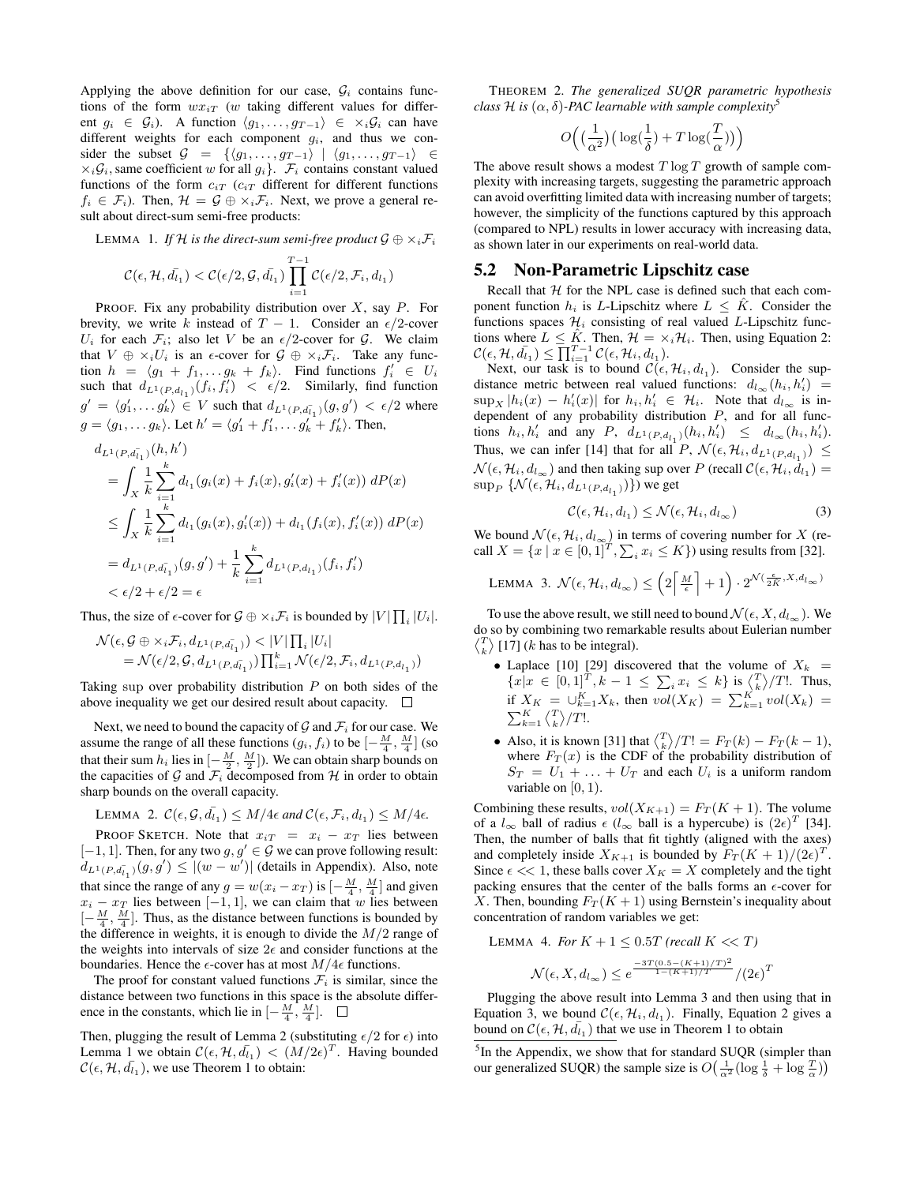Applying the above definition for our case,  $\mathcal{G}_i$  contains functions of the form  $wx_{iT}$  (w taking different values for different  $g_i \in \mathcal{G}_i$ ). A function  $\langle g_1, \ldots, g_{T-1} \rangle \in \times_i \mathcal{G}_i$  can have different weights for each component  $g_i$ , and thus we consider the subset  $G = \{ \langle g_1, \ldots, g_{T-1} \rangle \mid \langle g_1, \ldots, g_{T-1} \rangle \in$  $\times_i \mathcal{G}_i$ , same coefficient w for all  $g_i$ .  $\mathcal{F}_i$  contains constant valued functions of the form  $c_{iT}$  ( $c_{iT}$  different for different functions  $f_i \in \mathcal{F}_i$ ). Then,  $\mathcal{H} = \mathcal{G} \oplus \times_i \mathcal{F}_i$ . Next, we prove a general result about direct-sum semi-free products:

LEMMA 1. If H is the direct-sum semi-free product  $\mathcal{G} \oplus \times_i \mathcal{F}_i$ 

$$
\mathcal{C}(\epsilon, \mathcal{H}, \bar{d}_{i_1}) < \mathcal{C}(\epsilon/2, \mathcal{G}, \bar{d}_{i_1}) \prod_{i=1}^{T-1} \mathcal{C}(\epsilon/2, \mathcal{F}_i, d_{i_1})
$$

PROOF. Fix any probability distribution over  $X$ , say  $P$ . For brevity, we write k instead of  $T - 1$ . Consider an  $\epsilon/2$ -cover  $U_i$  for each  $\mathcal{F}_i$ ; also let V be an  $\epsilon/2$ -cover for  $\mathcal{G}$ . We claim that  $V \oplus \times_i U_i$  is an  $\epsilon$ -cover for  $\mathcal{G} \oplus \times_i \mathcal{F}_i$ . Take any function  $h = \langle g_1 + f_1, \ldots g_k + f_k \rangle$ . Find functions  $f'_i \in U_i$ . such that  $d_{L^1(P,d_{l_1})}(f_i, f'_i) < \epsilon/2$ . Similarly, find function  $g' = \langle g'_1, \ldots g'_k \rangle \in V$  such that  $d_{L^1(P, d_{l_1})}(g, g') < \epsilon/2$  where  $g = \langle g_1, \ldots g_k \rangle$ . Let  $h' = \langle g'_1 + f'_1, \ldots g'_k + f'_k \rangle$ . Then,

$$
d_{L^{1}(P,d_{l_{1}})}(h,h')
$$
  
=  $\int_{X} \frac{1}{k} \sum_{i=1}^{k} d_{l_{1}}(g_{i}(x) + f_{i}(x), g'_{i}(x) + f'_{i}(x)) dP(x)$   
 $\leq \int_{X} \frac{1}{k} \sum_{i=1}^{k} d_{l_{1}}(g_{i}(x), g'_{i}(x)) + d_{l_{1}}(f_{i}(x), f'_{i}(x)) dP(x)$   
=  $d_{L^{1}(P,d_{l_{1}})}(g,g') + \frac{1}{k} \sum_{i=1}^{k} d_{L^{1}(P,d_{l_{1}})}(f_{i}, f'_{i})$   
 $< \epsilon/2 + \epsilon/2 = \epsilon$ 

Thus, the size of  $\epsilon$ -cover for  $\mathcal{G} \oplus \times_i \mathcal{F}_i$  is bounded by  $|V| \prod_i |U_i|$ .

$$
\mathcal{N}(\epsilon, \mathcal{G} \oplus \times_i \mathcal{F}_i, d_{L^1(P, d_{l_1})}) < |V| \prod_i |U_i| \\
= \mathcal{N}(\epsilon/2, \mathcal{G}, d_{L^1(P, d_{l_1})}) \prod_{i=1}^k \mathcal{N}(\epsilon/2, \mathcal{F}_i, d_{L^1(P, d_{l_1})})
$$

Taking sup over probability distribution  $P$  on both sides of the above inequality we get our desired result about capacity.  $\Box$ 

Next, we need to bound the capacity of  $G$  and  $\mathcal{F}_i$  for our case. We assume the range of all these functions  $(g_i, f_i)$  to be  $\left[-\frac{M}{4}, \frac{M}{4}\right]$  (so that their sum  $h_i$  lies in  $\left[-\frac{M}{2}, \frac{M}{2}\right]$ ). We can obtain sharp bounds on the capacities of G and  $\mathcal{F}_i$  decomposed from H in order to obtain sharp bounds on the overall capacity.

LEMMA 2. 
$$
C(\epsilon, \mathcal{G}, \bar{d}_{i_1}) \leq M/4\epsilon
$$
 and  $C(\epsilon, \mathcal{F}_i, d_{i_1}) \leq M/4\epsilon$ .

PROOF SKETCH. Note that  $x_{iT} = x_i - x_T$  lies between  $[-1, 1]$ . Then, for any two  $g, g' \in G$  we can prove following result:  $d_{L^1(P, d_{l_1})}(g, g') \le |(w - w')|$  (details in Appendix). Also, note that since the range of any  $g = w(x_i - x_T)$  is  $\left[-\frac{M}{4}, \frac{M}{4}\right]$  and given  $x_i - x_T$  lies between [−1, 1], we can claim that w lies between  $\left[-\frac{M}{4}, \frac{M}{4}\right]$ . Thus, as the distance between functions is bounded by the difference in weights, it is enough to divide the  $M/2$  range of the weights into intervals of size  $2\epsilon$  and consider functions at the boundaries. Hence the  $\epsilon$ -cover has at most  $M/4\epsilon$  functions.

The proof for constant valued functions  $\mathcal{F}_i$  is similar, since the distance between two functions in this space is the absolute difference in the constants, which lie in  $\left[-\frac{M}{4}, \frac{M}{4}\right]$ .

Then, plugging the result of Lemma 2 (substituting  $\epsilon/2$  for  $\epsilon$ ) into Lemma 1 we obtain  $\mathcal{C}(\epsilon, \mathcal{H}, \bar{d}_{1}) < (M/2\epsilon)^{T}$ . Having bounded  $\mathcal{C}(\epsilon, \mathcal{H}, \bar{d}_{1})$ , we use Theorem 1 to obtain:

THEOREM 2. *The generalized SUQR parametric hypothesis class* H is  $(\alpha, \delta)$ -PAC learnable with sample complexity<sup>5</sup>

$$
O\Big(\big(\frac{1}{\alpha^2}\big)\big(\log(\frac{1}{\delta})+T\log(\frac{T}{\alpha})\big)\Big)
$$

The above result shows a modest  $T \log T$  growth of sample complexity with increasing targets, suggesting the parametric approach can avoid overfitting limited data with increasing number of targets; however, the simplicity of the functions captured by this approach (compared to NPL) results in lower accuracy with increasing data, as shown later in our experiments on real-world data.

#### 5.2 Non-Parametric Lipschitz case

Recall that  $H$  for the NPL case is defined such that each component function  $h_i$  is L-Lipschitz where  $L \leq \hat{K}$ . Consider the functions spaces  $\mathcal{H}_i$  consisting of real valued L-Lipschitz functions where  $L \leq \hat{K}$ . Then,  $\mathcal{H} = \times_i \mathcal{H}_i$ . Then, using Equation 2:  $\mathcal{C}(\epsilon, \mathcal{H}, \bar{d_{l_1}}) \leq \overline{\prod}_{i=1}^{T-1} \mathcal{C}(\epsilon, \mathcal{H}_i, d_{l_1}).$ 

Next, our task is to bound  $\mathcal{C}(\epsilon, \mathcal{H}_i, d_{l_1})$ . Consider the supdistance metric between real valued functions:  $d_{l_{\infty}}(h_i, h'_i) =$  $\sup_X |h_i(x) - h'_i(x)|$  for  $h_i, h'_i \in \mathcal{H}_i$ . Note that  $d_{l_\infty}$  is independent of any probability distribution  $P$ , and for all functions  $h_i, h'_i$  and any  $P, d_{L^1(P,d_{l_1})}(h_i, h'_i) \leq d_{l_\infty}(h_i, h'_i)$ . Thus, we can infer [14] that for all P,  $\mathcal{N}(\epsilon, \mathcal{H}_i, d_{L^1(P, d_{l_1})}) \leq$  $\mathcal{N}(\epsilon, \mathcal{H}_i, d_{l_{\infty}})$  and then taking sup over P (recall  $\mathcal{C}(\epsilon, \mathcal{H}_i, d_{l_1}) =$  $\sup_{P}\, \{\mathcal{N}(\epsilon,\mathcal{H}_{i}, d_{L^1(P,d_{l_1})})\})$  we get

$$
\mathcal{C}(\epsilon, \mathcal{H}_i, d_{l_1}) \le \mathcal{N}(\epsilon, \mathcal{H}_i, d_{l_{\infty}})
$$
 (3)

We bound  $\mathcal{N}(\epsilon, \mathcal{H}_i, d_{l_{\infty}})$  in terms of covering number for X (recall  $X = \{x \mid x \in [0,1]^T, \sum_i x_i \leq K\}$  using results from [32].

LEMMA 3. 
$$
\mathcal{N}(\epsilon, \mathcal{H}_i, d_{l_{\infty}}) \leq \left(2\left\lceil \frac{M}{\epsilon} \right\rceil + 1\right) \cdot 2^{\mathcal{N}(\frac{\epsilon}{2\hat{K}}, X, d_{l_{\infty}})}
$$

To use the above result, we still need to bound  $\mathcal{N}(\epsilon, X, d_{l_{\infty}})$ . We do so by combining two remarkable results about Eulerian number  $\langle \frac{T}{k} \rangle$  [17] (*k* has to be integral).

- Laplace [10] [29] discovered that the volume of  $X_k =$  ${x \in [0,1]^T, k-1 \leq \sum_i x_i \leq k}$  is  $\binom{T}{k}/T!$ . Thus, if  $X_K = \bigcup_{k=1}^K X_k$ , then  $vol(X_K) = \sum_{k=1}^K vol(X_k)$  $\sum_{k=1}^K \langle T \rangle / T!$ .
- Also, it is known [31] that  $\binom{T}{k}/T! = F_T(k) F_T(k-1)$ , where  $F_T(x)$  is the CDF of the probability distribution of  $S_T = U_1 + \ldots + U_T$  and each  $U_i$  is a uniform random variable on  $[0, 1)$ .

Combining these results,  $vol(X_{K+1}) = F_T(K+1)$ . The volume of a  $l_{\infty}$  ball of radius  $\epsilon$  ( $l_{\infty}$  ball is a hypercube) is  $(2\epsilon)^{T}$  [34]. Then, the number of balls that fit tightly (aligned with the axes) and completely inside  $X_{K+1}$  is bounded by  $F_T(K+1)/(2\epsilon)^T$ . Since  $\epsilon \ll 1$ , these balls cover  $X_K = X$  completely and the tight packing ensures that the center of the balls forms an  $\epsilon$ -cover for X. Then, bounding  $F_T(K + 1)$  using Bernstein's inequality about concentration of random variables we get:

LEMMA 4. *For*  $K + 1 \leq 0.5T$  *(recall*  $K \ll T$ )

$$
\mathcal{N}(\epsilon, X, d_{l_{\infty}}) \le e^{\frac{-3T(0.5 - (K+1)/T)^2}{1 - (K+1)/T}} / (2\epsilon)^T
$$

Plugging the above result into Lemma 3 and then using that in Equation 3, we bound  $\mathcal{C}(\epsilon, \mathcal{H}_i, d_{l_1})$ . Finally, Equation 2 gives a bound on  $\mathcal{C}(\epsilon, \mathcal{H}, \bar{d}_{i_1})$  that we use in Theorem 1 to obtain

<sup>&</sup>lt;sup>5</sup>In the Appendix, we show that for standard SUQR (simpler than our generalized SUQR) the sample size is  $O(\frac{1}{\alpha^2} (\log \frac{1}{\delta} + \log \frac{T}{\alpha}))$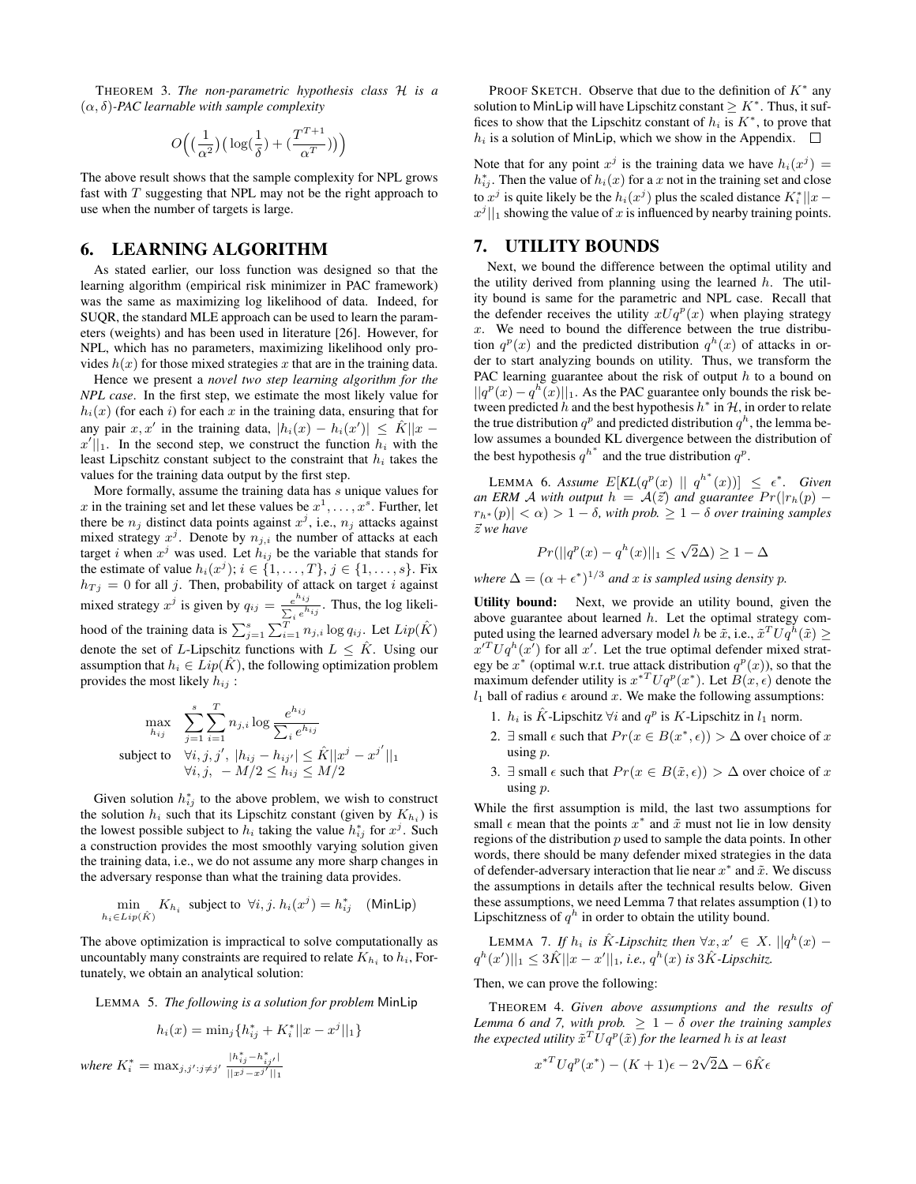THEOREM 3. *The non-parametric hypothesis class* H *is a* (α, δ)*-PAC learnable with sample complexity*

$$
O\Big(\big(\frac{1}{\alpha^2}\big)\big(\log(\frac{1}{\delta})+\big(\frac{T^{T+1}}{\alpha^T}\big)\big)\Big)
$$

The above result shows that the sample complexity for NPL grows fast with  $T$  suggesting that NPL may not be the right approach to use when the number of targets is large.

#### 6. LEARNING ALGORITHM

As stated earlier, our loss function was designed so that the learning algorithm (empirical risk minimizer in PAC framework) was the same as maximizing log likelihood of data. Indeed, for SUQR, the standard MLE approach can be used to learn the parameters (weights) and has been used in literature [26]. However, for NPL, which has no parameters, maximizing likelihood only provides  $h(x)$  for those mixed strategies x that are in the training data.

Hence we present a *novel two step learning algorithm for the NPL case*. In the first step, we estimate the most likely value for  $h_i(x)$  (for each i) for each x in the training data, ensuring that for any pair  $x, x'$  in the training data,  $|h_i(x) - h_i(x')| \leq \hat{K}||x$  $x'$ ||1. In the second step, we construct the function  $h_i$  with the least Lipschitz constant subject to the constraint that  $h_i$  takes the values for the training data output by the first step.

More formally, assume the training data has s unique values for x in the training set and let these values be  $x^1, \ldots, x^s$ . Further, let there be  $n_j$  distinct data points against  $x^j$ , i.e.,  $n_j$  attacks against mixed strategy  $x^j$ . Denote by  $n_{j,i}$  the number of attacks at each target *i* when  $x^j$  was used. Let  $\hat{h}_{ij}$  be the variable that stands for the estimate of value  $h_i(x^j); i \in \{1, \ldots, T\}, j \in \{1, \ldots, s\}$ . Fix  $h_{Tj} = 0$  for all j. Then, probability of attack on target i against mixed strategy  $x^j$  is given by  $q_{ij} = \frac{e^{h_{ij}}}{\sum_{j} h_{ij}}$  $\frac{e^{i\theta}+i\theta}{\sum_{i}e^{h_{ij}}}$ . Thus, the log likelihood of the training data is  $\sum_{j=1}^{s} \sum_{i=1}^{T} n_{j,i} \log q_{ij}$ . Let  $Lip(\hat{K})$ denote the set of L-Lipschitz functions with  $L \leq \hat{K}$ . Using our assumption that  $h_i \in Lip(K)$ , the following optimization problem provides the most likely  $h_{ij}$ :

$$
\max_{h_{ij}} \sum_{j=1}^{s} \sum_{i=1}^{T} n_{j,i} \log \frac{e^{h_{ij}}}{\sum_{i} e^{h_{ij}}}
$$
\nsubject to 
$$
\forall i, j, j', \ |h_{ij} - h_{ij'}| \leq \hat{K} ||x^{j} - x^{j'}||_1
$$
\n
$$
\forall i, j, \ -M/2 \leq h_{ij} \leq M/2
$$

Given solution  $h_{ij}^*$  to the above problem, we wish to construct the solution  $h_i$  such that its Lipschitz constant (given by  $K_{h_i}$ ) is the lowest possible subject to  $h_i$  taking the value  $h_{ij}^*$  for  $x^j$ . Such a construction provides the most smoothly varying solution given the training data, i.e., we do not assume any more sharp changes in the adversary response than what the training data provides.

$$
\min_{h_i \in Lip(\hat{K})} K_{h_i} \text{ subject to } \forall i, j. h_i(x^j) = h_{ij}^* \quad \text{(MinLip)}
$$

The above optimization is impractical to solve computationally as uncountably many constraints are required to relate  $K_{h_i}$  to  $h_i$ , Fortunately, we obtain an analytical solution:

LEMMA 5. *The following is a solution for problem* MinLip

$$
h_i(x) = \min_j \{ h_{ij}^* + K_i^* ||x - x^j||_1 \}
$$
  

$$
K_i^* = \max_{j, j'; j \neq j'} \frac{|h_{ij}^* - h_{ij'}^*|}{||x^j - x^{j'}||_1}
$$

*where* 

PROOF SKETCH. Observe that due to the definition of  $K^*$  any solution to MinLip will have Lipschitz constant  $\geq K^*$ . Thus, it suffices to show that the Lipschitz constant of  $h_i$  is  $K^*$ , to prove that  $h_i$  is a solution of MinLip, which we show in the Appendix.  $\Box$ 

Note that for any point  $x^j$  is the training data we have  $h_i(x^j) =$  $h_{ij}^*$ . Then the value of  $h_i(x)$  for a x not in the training set and close to  $x^j$  is quite likely be the  $h_i(x^j)$  plus the scaled distance  $K_i^*||x$  $x^{j}$ ] is showing the value of x is influenced by nearby training points.

## 7. UTILITY BOUNDS

Next, we bound the difference between the optimal utility and the utility derived from planning using the learned  $h$ . The utility bound is same for the parametric and NPL case. Recall that the defender receives the utility  $xUq^p(x)$  when playing strategy  $x$ . We need to bound the difference between the true distribution  $q^p(x)$  and the predicted distribution  $q^h(x)$  of attacks in order to start analyzing bounds on utility. Thus, we transform the PAC learning guarantee about the risk of output  $h$  to a bound on  $||q^{p}(x) - q^{h}(x)||_{1}$ . As the PAC guarantee only bounds the risk between predicted h and the best hypothesis  $h^*$  in  $H$ , in order to relate the true distribution  $q^p$  and predicted distribution  $q^h$ , the lemma below assumes a bounded KL divergence between the distribution of the best hypothesis  $q^{h^*}$  and the true distribution  $q^p$ .

LEMMA 6. Assume  $E[KL(q^p(x) || q^{h^*}(x))] \leq \epsilon^*$ . Given *an ERM A with output*  $h = A(\vec{z})$  *and guarantee*  $Pr(|r_h(p) - p|)$  $|r_{h^*}(p)| < \alpha$ ) > 1 –  $\delta$ , with prob.  $\geq 1 - \delta$  over training samples ~z *we have*

$$
Pr(||q^p(x) - q^h(x)||_1 \le \sqrt{2}\Delta) \ge 1 - \Delta
$$

*where*  $\Delta = (\alpha + \epsilon^*)^{1/3}$  *and* x *is sampled using density* p.

Utility bound: Next, we provide an utility bound, given the above guarantee about learned  $h$ . Let the optimal strategy computed using the learned adversary model h be  $\tilde{x}$ , i.e.,  $\tilde{x}^T U q^h(\tilde{x}) \geq$  $x'^T U q^h(x')$  for all x'. Let the true optimal defender mixed strategy be  $x^*$  (optimal w.r.t. true attack distribution  $q^p(x)$ ), so that the maximum defender utility is  $x^{*T}Uq^p(x^*)$ . Let  $B(x, \epsilon)$  denote the  $l_1$  ball of radius  $\epsilon$  around x. We make the following assumptions:

- 1.  $h_i$  is  $\hat{K}$ -Lipschitz  $\forall i$  and  $q^p$  is  $K$ -Lipschitz in  $l_1$  norm.
- 2.  $\exists$  small  $\epsilon$  such that  $Pr(x \in B(x^*, \epsilon)) > \Delta$  over choice of x using p.
- 3. ∃ small  $\epsilon$  such that  $Pr(x \in B(\tilde{x}, \epsilon)) > \Delta$  over choice of x using p.

While the first assumption is mild, the last two assumptions for small  $\epsilon$  mean that the points  $x^*$  and  $\tilde{x}$  must not lie in low density regions of the distribution  $p$  used to sample the data points. In other words, there should be many defender mixed strategies in the data of defender-adversary interaction that lie near  $x^*$  and  $\tilde{x}$ . We discuss the assumptions in details after the technical results below. Given these assumptions, we need Lemma 7 that relates assumption (1) to Lipschitzness of  $q^h$  in order to obtain the utility bound.

LEMMA 7. If  $h_i$  is  $\hat{K}$ -Lipschitz then  $\forall x, x' \in X$ .  $||q^h(x)$  $q^{h}(x')||_{1} \leq 3\hat{K}||x-x'||_{1}$ , *i.e.*,  $q^{h}(x)$  *is*  $3\hat{K}$ *-Lipschitz.* 

#### Then, we can prove the following:

THEOREM 4. *Given above assumptions and the results of Lemma 6 and 7, with prob.*  $> 1 - \delta$  *over the training samples* the expected utility  $\tilde{x}^T U q^p(\tilde{x})$  for the learned  $h$  is at least

$$
x^{*T}Uq^p(x^*) - (K+1)\epsilon - 2\sqrt{2}\Delta - 6\hat{K}\epsilon
$$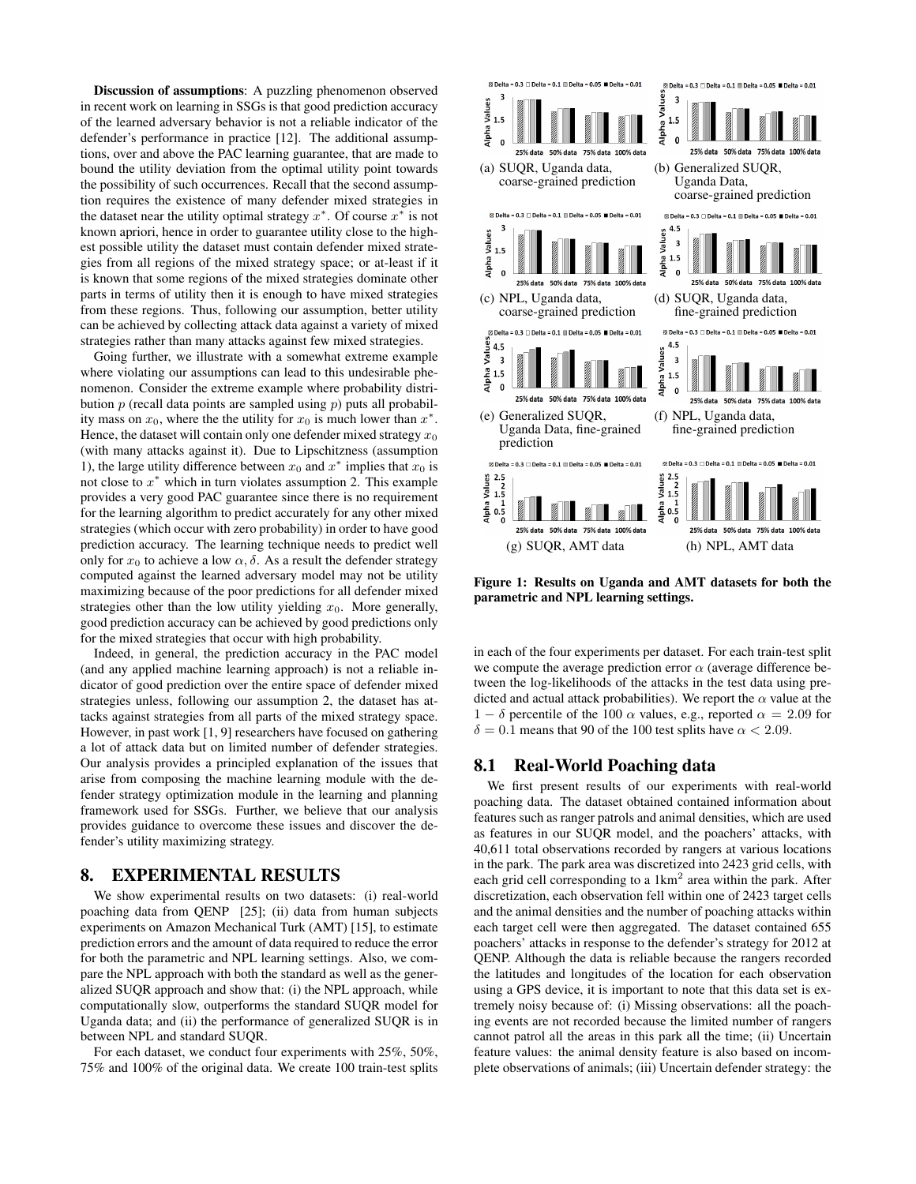Discussion of assumptions: A puzzling phenomenon observed in recent work on learning in SSGs is that good prediction accuracy of the learned adversary behavior is not a reliable indicator of the defender's performance in practice [12]. The additional assumptions, over and above the PAC learning guarantee, that are made to bound the utility deviation from the optimal utility point towards the possibility of such occurrences. Recall that the second assumption requires the existence of many defender mixed strategies in the dataset near the utility optimal strategy  $x^*$ . Of course  $x^*$  is not known apriori, hence in order to guarantee utility close to the highest possible utility the dataset must contain defender mixed strategies from all regions of the mixed strategy space; or at-least if it is known that some regions of the mixed strategies dominate other parts in terms of utility then it is enough to have mixed strategies from these regions. Thus, following our assumption, better utility can be achieved by collecting attack data against a variety of mixed strategies rather than many attacks against few mixed strategies.

Going further, we illustrate with a somewhat extreme example where violating our assumptions can lead to this undesirable phenomenon. Consider the extreme example where probability distribution  $p$  (recall data points are sampled using  $p$ ) puts all probability mass on  $x_0$ , where the the utility for  $x_0$  is much lower than  $x^*$ . Hence, the dataset will contain only one defender mixed strategy  $x_0$ (with many attacks against it). Due to Lipschitzness (assumption 1), the large utility difference between  $x_0$  and  $x^*$  implies that  $x_0$  is not close to  $x^*$  which in turn violates assumption 2. This example provides a very good PAC guarantee since there is no requirement for the learning algorithm to predict accurately for any other mixed strategies (which occur with zero probability) in order to have good prediction accuracy. The learning technique needs to predict well only for  $x_0$  to achieve a low  $\alpha$ ,  $\delta$ . As a result the defender strategy computed against the learned adversary model may not be utility maximizing because of the poor predictions for all defender mixed strategies other than the low utility yielding  $x_0$ . More generally, good prediction accuracy can be achieved by good predictions only for the mixed strategies that occur with high probability.

Indeed, in general, the prediction accuracy in the PAC model (and any applied machine learning approach) is not a reliable indicator of good prediction over the entire space of defender mixed strategies unless, following our assumption 2, the dataset has attacks against strategies from all parts of the mixed strategy space. However, in past work [1, 9] researchers have focused on gathering a lot of attack data but on limited number of defender strategies. Our analysis provides a principled explanation of the issues that arise from composing the machine learning module with the defender strategy optimization module in the learning and planning framework used for SSGs. Further, we believe that our analysis provides guidance to overcome these issues and discover the defender's utility maximizing strategy.

#### 8. EXPERIMENTAL RESULTS

We show experimental results on two datasets: (i) real-world poaching data from QENP [25]; (ii) data from human subjects experiments on Amazon Mechanical Turk (AMT) [15], to estimate prediction errors and the amount of data required to reduce the error for both the parametric and NPL learning settings. Also, we compare the NPL approach with both the standard as well as the generalized SUQR approach and show that: (i) the NPL approach, while computationally slow, outperforms the standard SUQR model for Uganda data; and (ii) the performance of generalized SUQR is in between NPL and standard SUQR.

For each dataset, we conduct four experiments with 25%, 50%, 75% and 100% of the original data. We create 100 train-test splits



Figure 1: Results on Uganda and AMT datasets for both the parametric and NPL learning settings.

in each of the four experiments per dataset. For each train-test split we compute the average prediction error  $\alpha$  (average difference between the log-likelihoods of the attacks in the test data using predicted and actual attack probabilities). We report the  $\alpha$  value at the 1 – δ percentile of the 100  $\alpha$  values, e.g., reported  $\alpha = 2.09$  for  $\delta = 0.1$  means that 90 of the 100 test splits have  $\alpha < 2.09$ .

#### 8.1 Real-World Poaching data

We first present results of our experiments with real-world poaching data. The dataset obtained contained information about features such as ranger patrols and animal densities, which are used as features in our SUQR model, and the poachers' attacks, with 40,611 total observations recorded by rangers at various locations in the park. The park area was discretized into 2423 grid cells, with each grid cell corresponding to a  $1 \text{km}^2$  area within the park. After discretization, each observation fell within one of 2423 target cells and the animal densities and the number of poaching attacks within each target cell were then aggregated. The dataset contained 655 poachers' attacks in response to the defender's strategy for 2012 at QENP. Although the data is reliable because the rangers recorded the latitudes and longitudes of the location for each observation using a GPS device, it is important to note that this data set is extremely noisy because of: (i) Missing observations: all the poaching events are not recorded because the limited number of rangers cannot patrol all the areas in this park all the time; (ii) Uncertain feature values: the animal density feature is also based on incomplete observations of animals; (iii) Uncertain defender strategy: the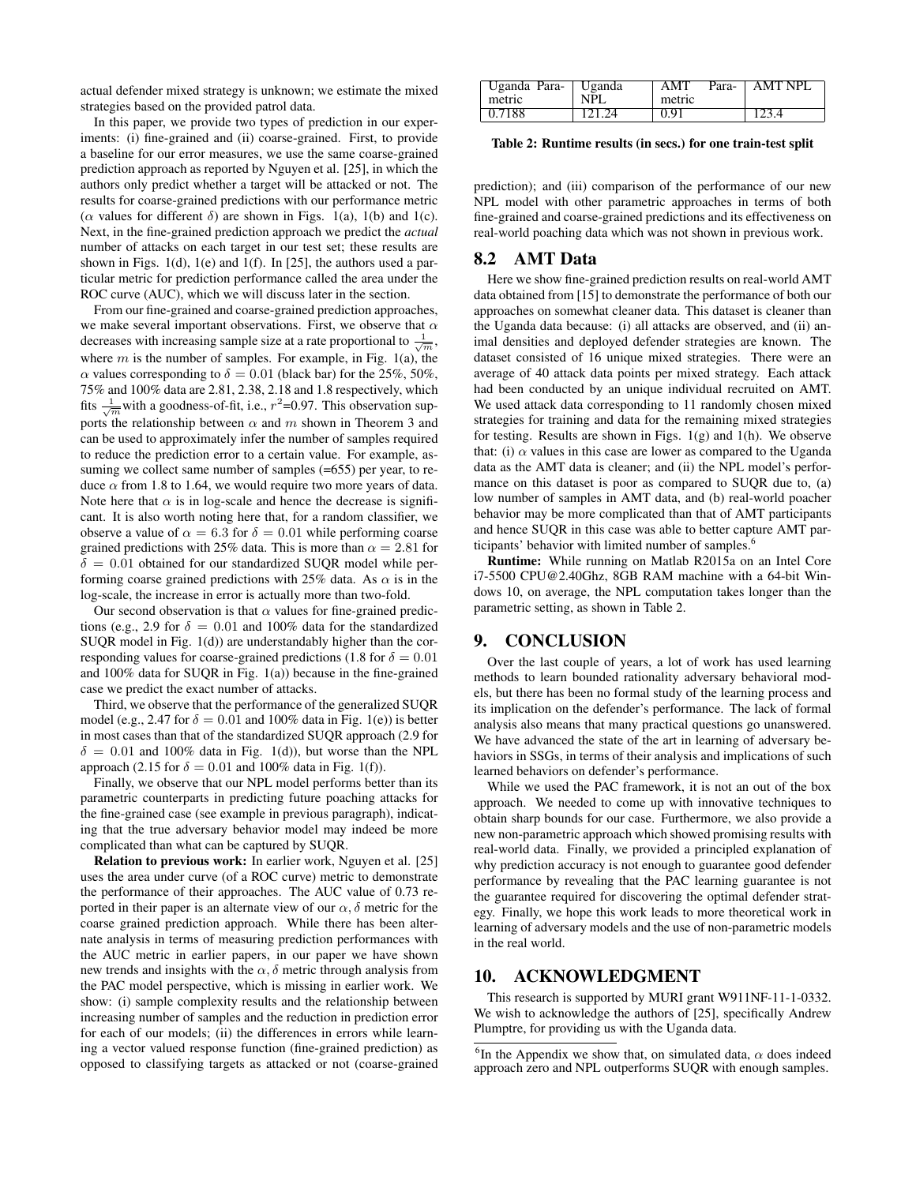actual defender mixed strategy is unknown; we estimate the mixed strategies based on the provided patrol data.

In this paper, we provide two types of prediction in our experiments: (i) fine-grained and (ii) coarse-grained. First, to provide a baseline for our error measures, we use the same coarse-grained prediction approach as reported by Nguyen et al. [25], in which the authors only predict whether a target will be attacked or not. The results for coarse-grained predictions with our performance metric ( $\alpha$  values for different δ) are shown in Figs. 1(a), 1(b) and 1(c). Next, in the fine-grained prediction approach we predict the *actual* number of attacks on each target in our test set; these results are shown in Figs. 1(d), 1(e) and 1(f). In [25], the authors used a particular metric for prediction performance called the area under the ROC curve (AUC), which we will discuss later in the section.

From our fine-grained and coarse-grained prediction approaches, we make several important observations. First, we observe that  $\alpha$ decreases with increasing sample size at a rate proportional to  $\frac{1}{\sqrt{m}}$ , where  $m$  is the number of samples. For example, in Fig. 1(a), the  $\alpha$  values corresponding to  $\delta = 0.01$  (black bar) for the 25%, 50%, 75% and 100% data are 2.81, 2.38, 2.18 and 1.8 respectively, which fits  $\frac{1}{\sqrt{m}}$  with a goodness-of-fit, i.e.,  $r^2$ =0.97. This observation supports the relationship between  $\alpha$  and  $m$  shown in Theorem 3 and can be used to approximately infer the number of samples required to reduce the prediction error to a certain value. For example, assuming we collect same number of samples (=655) per year, to reduce  $\alpha$  from 1.8 to 1.64, we would require two more years of data. Note here that  $\alpha$  is in log-scale and hence the decrease is significant. It is also worth noting here that, for a random classifier, we observe a value of  $\alpha = 6.3$  for  $\delta = 0.01$  while performing coarse grained predictions with 25% data. This is more than  $\alpha = 2.81$  for  $\delta = 0.01$  obtained for our standardized SUQR model while performing coarse grained predictions with 25% data. As  $\alpha$  is in the log-scale, the increase in error is actually more than two-fold.

Our second observation is that  $\alpha$  values for fine-grained predictions (e.g., 2.9 for  $\delta = 0.01$  and 100% data for the standardized SUQR model in Fig. 1(d)) are understandably higher than the corresponding values for coarse-grained predictions (1.8 for  $\delta = 0.01$ and 100% data for SUQR in Fig. 1(a)) because in the fine-grained case we predict the exact number of attacks.

Third, we observe that the performance of the generalized SUQR model (e.g., 2.47 for  $\delta = 0.01$  and 100% data in Fig. 1(e)) is better in most cases than that of the standardized SUQR approach (2.9 for  $\delta = 0.01$  and 100% data in Fig. 1(d)), but worse than the NPL approach (2.15 for  $\delta = 0.01$  and 100% data in Fig. 1(f)).

Finally, we observe that our NPL model performs better than its parametric counterparts in predicting future poaching attacks for the fine-grained case (see example in previous paragraph), indicating that the true adversary behavior model may indeed be more complicated than what can be captured by SUQR.

Relation to previous work: In earlier work, Nguyen et al. [25] uses the area under curve (of a ROC curve) metric to demonstrate the performance of their approaches. The AUC value of 0.73 reported in their paper is an alternate view of our  $\alpha$ ,  $\delta$  metric for the coarse grained prediction approach. While there has been alternate analysis in terms of measuring prediction performances with the AUC metric in earlier papers, in our paper we have shown new trends and insights with the  $\alpha$ ,  $\delta$  metric through analysis from the PAC model perspective, which is missing in earlier work. We show: (i) sample complexity results and the relationship between increasing number of samples and the reduction in prediction error for each of our models; (ii) the differences in errors while learning a vector valued response function (fine-grained prediction) as opposed to classifying targets as attacked or not (coarse-grained

| Uganda Para-   Uganda |        | AMT    | Para- AMT NPL |
|-----------------------|--------|--------|---------------|
| metric                | NPL    | metric |               |
| 0.7188                | 121.24 | 0.91   | 123.4         |

Table 2: Runtime results (in secs.) for one train-test split

prediction); and (iii) comparison of the performance of our new NPL model with other parametric approaches in terms of both fine-grained and coarse-grained predictions and its effectiveness on real-world poaching data which was not shown in previous work.

#### 8.2 AMT Data

Here we show fine-grained prediction results on real-world AMT data obtained from [15] to demonstrate the performance of both our approaches on somewhat cleaner data. This dataset is cleaner than the Uganda data because: (i) all attacks are observed, and (ii) animal densities and deployed defender strategies are known. The dataset consisted of 16 unique mixed strategies. There were an average of 40 attack data points per mixed strategy. Each attack had been conducted by an unique individual recruited on AMT. We used attack data corresponding to 11 randomly chosen mixed strategies for training and data for the remaining mixed strategies for testing. Results are shown in Figs. 1(g) and 1(h). We observe that: (i)  $\alpha$  values in this case are lower as compared to the Uganda data as the AMT data is cleaner; and (ii) the NPL model's performance on this dataset is poor as compared to SUQR due to, (a) low number of samples in AMT data, and (b) real-world poacher behavior may be more complicated than that of AMT participants and hence SUQR in this case was able to better capture AMT participants' behavior with limited number of samples.<sup>6</sup>

Runtime: While running on Matlab R2015a on an Intel Core i7-5500 CPU@2.40Ghz, 8GB RAM machine with a 64-bit Windows 10, on average, the NPL computation takes longer than the parametric setting, as shown in Table 2.

# 9. CONCLUSION

Over the last couple of years, a lot of work has used learning methods to learn bounded rationality adversary behavioral models, but there has been no formal study of the learning process and its implication on the defender's performance. The lack of formal analysis also means that many practical questions go unanswered. We have advanced the state of the art in learning of adversary behaviors in SSGs, in terms of their analysis and implications of such learned behaviors on defender's performance.

While we used the PAC framework, it is not an out of the box approach. We needed to come up with innovative techniques to obtain sharp bounds for our case. Furthermore, we also provide a new non-parametric approach which showed promising results with real-world data. Finally, we provided a principled explanation of why prediction accuracy is not enough to guarantee good defender performance by revealing that the PAC learning guarantee is not the guarantee required for discovering the optimal defender strategy. Finally, we hope this work leads to more theoretical work in learning of adversary models and the use of non-parametric models in the real world.

#### 10. ACKNOWLEDGMENT

This research is supported by MURI grant W911NF-11-1-0332. We wish to acknowledge the authors of [25], specifically Andrew Plumptre, for providing us with the Uganda data.

<sup>&</sup>lt;sup>6</sup>In the Appendix we show that, on simulated data,  $\alpha$  does indeed approach zero and NPL outperforms SUQR with enough samples.